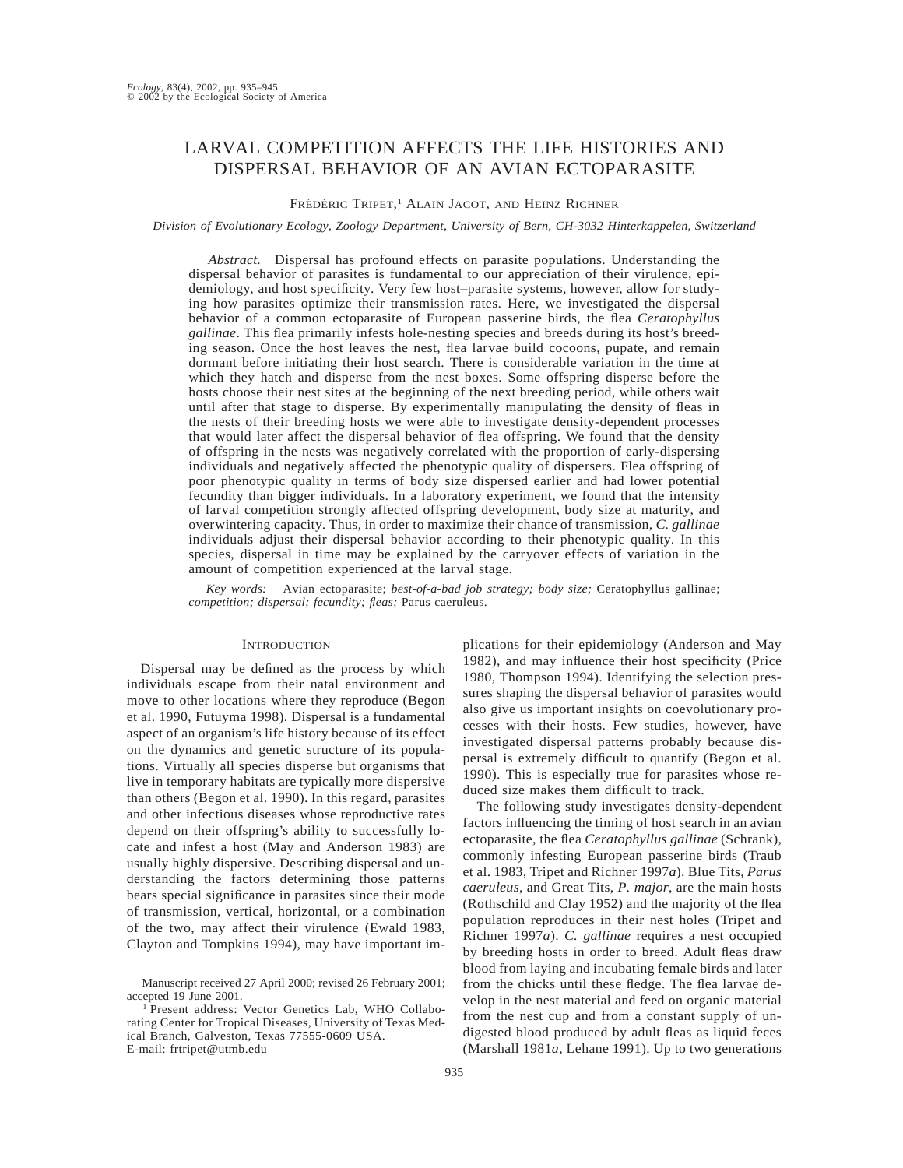# LARVAL COMPETITION AFFECTS THE LIFE HISTORIES AND DISPERSAL BEHAVIOR OF AN AVIAN ECTOPARASITE

# Frédéric Tripet,<sup>1</sup> Alain Jacot, and Heinz Richner

*Division of Evolutionary Ecology, Zoology Department, University of Bern, CH-3032 Hinterkappelen, Switzerland*

*Abstract.* Dispersal has profound effects on parasite populations. Understanding the dispersal behavior of parasites is fundamental to our appreciation of their virulence, epidemiology, and host specificity. Very few host–parasite systems, however, allow for studying how parasites optimize their transmission rates. Here, we investigated the dispersal behavior of a common ectoparasite of European passerine birds, the flea *Ceratophyllus gallinae*. This flea primarily infests hole-nesting species and breeds during its host's breeding season. Once the host leaves the nest, flea larvae build cocoons, pupate, and remain dormant before initiating their host search. There is considerable variation in the time at which they hatch and disperse from the nest boxes. Some offspring disperse before the hosts choose their nest sites at the beginning of the next breeding period, while others wait until after that stage to disperse. By experimentally manipulating the density of fleas in the nests of their breeding hosts we were able to investigate density-dependent processes that would later affect the dispersal behavior of flea offspring. We found that the density of offspring in the nests was negatively correlated with the proportion of early-dispersing individuals and negatively affected the phenotypic quality of dispersers. Flea offspring of poor phenotypic quality in terms of body size dispersed earlier and had lower potential fecundity than bigger individuals. In a laboratory experiment, we found that the intensity of larval competition strongly affected offspring development, body size at maturity, and overwintering capacity. Thus, in order to maximize their chance of transmission, *C. gallinae* individuals adjust their dispersal behavior according to their phenotypic quality. In this species, dispersal in time may be explained by the carryover effects of variation in the amount of competition experienced at the larval stage.

*Key words:* Avian ectoparasite; *best-of-a-bad job strategy; body size;* Ceratophyllus gallinae; *competition; dispersal; fecundity; fleas;* Parus caeruleus.

#### **INTRODUCTION**

Dispersal may be defined as the process by which individuals escape from their natal environment and move to other locations where they reproduce (Begon et al. 1990, Futuyma 1998). Dispersal is a fundamental aspect of an organism's life history because of its effect on the dynamics and genetic structure of its populations. Virtually all species disperse but organisms that live in temporary habitats are typically more dispersive than others (Begon et al. 1990). In this regard, parasites and other infectious diseases whose reproductive rates depend on their offspring's ability to successfully locate and infest a host (May and Anderson 1983) are usually highly dispersive. Describing dispersal and understanding the factors determining those patterns bears special significance in parasites since their mode of transmission, vertical, horizontal, or a combination of the two, may affect their virulence (Ewald 1983, Clayton and Tompkins 1994), may have important im-

<sup>1</sup> Present address: Vector Genetics Lab, WHO Collaborating Center for Tropical Diseases, University of Texas Medical Branch, Galveston, Texas 77555-0609 USA. E-mail: frtripet@utmb.edu

plications for their epidemiology (Anderson and May 1982), and may influence their host specificity (Price 1980, Thompson 1994). Identifying the selection pressures shaping the dispersal behavior of parasites would also give us important insights on coevolutionary processes with their hosts. Few studies, however, have investigated dispersal patterns probably because dispersal is extremely difficult to quantify (Begon et al. 1990). This is especially true for parasites whose reduced size makes them difficult to track.

The following study investigates density-dependent factors influencing the timing of host search in an avian ectoparasite, the flea *Ceratophyllus gallinae* (Schrank), commonly infesting European passerine birds (Traub et al. 1983, Tripet and Richner 1997*a*). Blue Tits, *Parus caeruleus*, and Great Tits, *P. major*, are the main hosts (Rothschild and Clay 1952) and the majority of the flea population reproduces in their nest holes (Tripet and Richner 1997*a*). *C. gallinae* requires a nest occupied by breeding hosts in order to breed. Adult fleas draw blood from laying and incubating female birds and later from the chicks until these fledge. The flea larvae develop in the nest material and feed on organic material from the nest cup and from a constant supply of undigested blood produced by adult fleas as liquid feces (Marshall 1981*a*, Lehane 1991). Up to two generations

Manuscript received 27 April 2000; revised 26 February 2001; accepted 19 June 2001.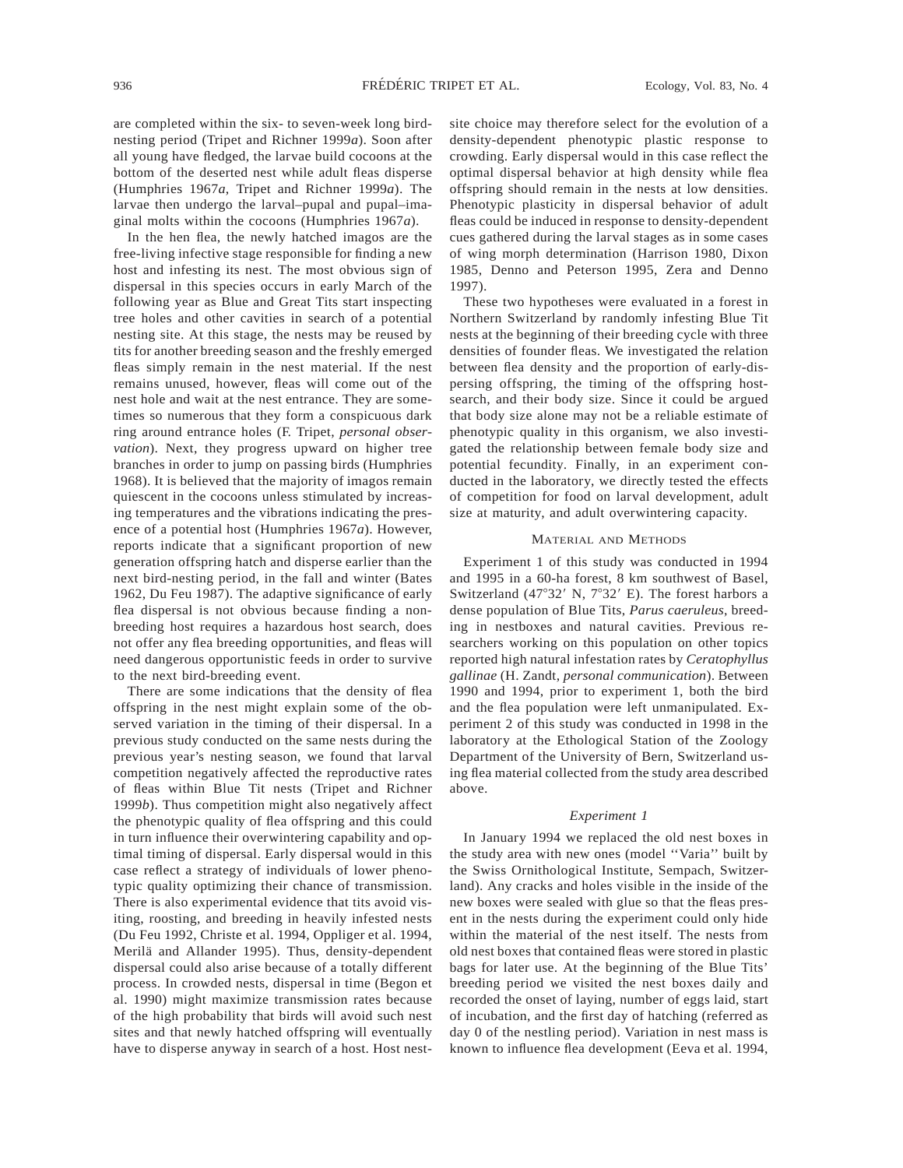are completed within the six- to seven-week long birdnesting period (Tripet and Richner 1999*a*). Soon after all young have fledged, the larvae build cocoons at the bottom of the deserted nest while adult fleas disperse (Humphries 1967*a*, Tripet and Richner 1999*a*). The larvae then undergo the larval–pupal and pupal–imaginal molts within the cocoons (Humphries 1967*a*).

In the hen flea, the newly hatched imagos are the free-living infective stage responsible for finding a new host and infesting its nest. The most obvious sign of dispersal in this species occurs in early March of the following year as Blue and Great Tits start inspecting tree holes and other cavities in search of a potential nesting site. At this stage, the nests may be reused by tits for another breeding season and the freshly emerged fleas simply remain in the nest material. If the nest remains unused, however, fleas will come out of the nest hole and wait at the nest entrance. They are sometimes so numerous that they form a conspicuous dark ring around entrance holes (F. Tripet, *personal observation*). Next, they progress upward on higher tree branches in order to jump on passing birds (Humphries 1968). It is believed that the majority of imagos remain quiescent in the cocoons unless stimulated by increasing temperatures and the vibrations indicating the presence of a potential host (Humphries 1967*a*). However, reports indicate that a significant proportion of new generation offspring hatch and disperse earlier than the next bird-nesting period, in the fall and winter (Bates 1962, Du Feu 1987). The adaptive significance of early flea dispersal is not obvious because finding a nonbreeding host requires a hazardous host search, does not offer any flea breeding opportunities, and fleas will need dangerous opportunistic feeds in order to survive to the next bird-breeding event.

There are some indications that the density of flea offspring in the nest might explain some of the observed variation in the timing of their dispersal. In a previous study conducted on the same nests during the previous year's nesting season, we found that larval competition negatively affected the reproductive rates of fleas within Blue Tit nests (Tripet and Richner 1999*b*). Thus competition might also negatively affect the phenotypic quality of flea offspring and this could in turn influence their overwintering capability and optimal timing of dispersal. Early dispersal would in this case reflect a strategy of individuals of lower phenotypic quality optimizing their chance of transmission. There is also experimental evidence that tits avoid visiting, roosting, and breeding in heavily infested nests (Du Feu 1992, Christe et al. 1994, Oppliger et al. 1994, Merilä and Allander 1995). Thus, density-dependent dispersal could also arise because of a totally different process. In crowded nests, dispersal in time (Begon et al. 1990) might maximize transmission rates because of the high probability that birds will avoid such nest sites and that newly hatched offspring will eventually have to disperse anyway in search of a host. Host nestsite choice may therefore select for the evolution of a density-dependent phenotypic plastic response to crowding. Early dispersal would in this case reflect the optimal dispersal behavior at high density while flea offspring should remain in the nests at low densities. Phenotypic plasticity in dispersal behavior of adult fleas could be induced in response to density-dependent cues gathered during the larval stages as in some cases of wing morph determination (Harrison 1980, Dixon 1985, Denno and Peterson 1995, Zera and Denno 1997).

These two hypotheses were evaluated in a forest in Northern Switzerland by randomly infesting Blue Tit nests at the beginning of their breeding cycle with three densities of founder fleas. We investigated the relation between flea density and the proportion of early-dispersing offspring, the timing of the offspring hostsearch, and their body size. Since it could be argued that body size alone may not be a reliable estimate of phenotypic quality in this organism, we also investigated the relationship between female body size and potential fecundity. Finally, in an experiment conducted in the laboratory, we directly tested the effects of competition for food on larval development, adult size at maturity, and adult overwintering capacity.

### MATERIAL AND METHODS

Experiment 1 of this study was conducted in 1994 and 1995 in a 60-ha forest, 8 km southwest of Basel, Switzerland  $(47^{\circ}32'$  N,  $7^{\circ}32'$  E). The forest harbors a dense population of Blue Tits, *Parus caeruleus*, breeding in nestboxes and natural cavities. Previous researchers working on this population on other topics reported high natural infestation rates by *Ceratophyllus gallinae* (H. Zandt, *personal communication*). Between 1990 and 1994, prior to experiment 1, both the bird and the flea population were left unmanipulated. Experiment 2 of this study was conducted in 1998 in the laboratory at the Ethological Station of the Zoology Department of the University of Bern, Switzerland using flea material collected from the study area described above.

#### *Experiment 1*

In January 1994 we replaced the old nest boxes in the study area with new ones (model ''Varia'' built by the Swiss Ornithological Institute, Sempach, Switzerland). Any cracks and holes visible in the inside of the new boxes were sealed with glue so that the fleas present in the nests during the experiment could only hide within the material of the nest itself. The nests from old nest boxes that contained fleas were stored in plastic bags for later use. At the beginning of the Blue Tits' breeding period we visited the nest boxes daily and recorded the onset of laying, number of eggs laid, start of incubation, and the first day of hatching (referred as day 0 of the nestling period). Variation in nest mass is known to influence flea development (Eeva et al. 1994,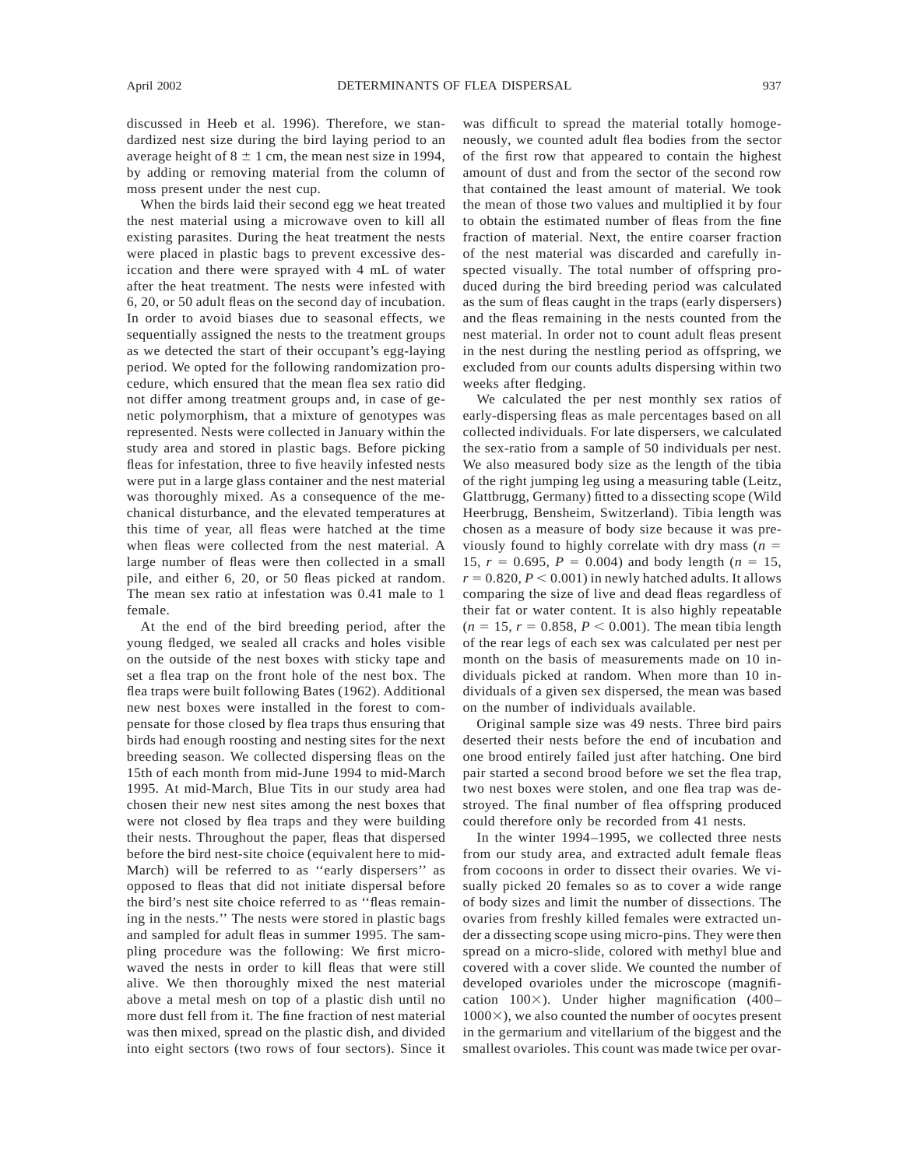discussed in Heeb et al. 1996). Therefore, we standardized nest size during the bird laying period to an average height of  $8 \pm 1$  cm, the mean nest size in 1994, by adding or removing material from the column of moss present under the nest cup.

When the birds laid their second egg we heat treated the nest material using a microwave oven to kill all existing parasites. During the heat treatment the nests were placed in plastic bags to prevent excessive desiccation and there were sprayed with 4 mL of water after the heat treatment. The nests were infested with 6, 20, or 50 adult fleas on the second day of incubation. In order to avoid biases due to seasonal effects, we sequentially assigned the nests to the treatment groups as we detected the start of their occupant's egg-laying period. We opted for the following randomization procedure, which ensured that the mean flea sex ratio did not differ among treatment groups and, in case of genetic polymorphism, that a mixture of genotypes was represented. Nests were collected in January within the study area and stored in plastic bags. Before picking fleas for infestation, three to five heavily infested nests were put in a large glass container and the nest material was thoroughly mixed. As a consequence of the mechanical disturbance, and the elevated temperatures at this time of year, all fleas were hatched at the time when fleas were collected from the nest material. A large number of fleas were then collected in a small pile, and either 6, 20, or 50 fleas picked at random. The mean sex ratio at infestation was 0.41 male to 1 female.

At the end of the bird breeding period, after the young fledged, we sealed all cracks and holes visible on the outside of the nest boxes with sticky tape and set a flea trap on the front hole of the nest box. The flea traps were built following Bates (1962). Additional new nest boxes were installed in the forest to compensate for those closed by flea traps thus ensuring that birds had enough roosting and nesting sites for the next breeding season. We collected dispersing fleas on the 15th of each month from mid-June 1994 to mid-March 1995. At mid-March, Blue Tits in our study area had chosen their new nest sites among the nest boxes that were not closed by flea traps and they were building their nests. Throughout the paper, fleas that dispersed before the bird nest-site choice (equivalent here to mid-March) will be referred to as ''early dispersers'' as opposed to fleas that did not initiate dispersal before the bird's nest site choice referred to as ''fleas remaining in the nests.'' The nests were stored in plastic bags and sampled for adult fleas in summer 1995. The sampling procedure was the following: We first microwaved the nests in order to kill fleas that were still alive. We then thoroughly mixed the nest material above a metal mesh on top of a plastic dish until no more dust fell from it. The fine fraction of nest material was then mixed, spread on the plastic dish, and divided into eight sectors (two rows of four sectors). Since it

was difficult to spread the material totally homogeneously, we counted adult flea bodies from the sector of the first row that appeared to contain the highest amount of dust and from the sector of the second row that contained the least amount of material. We took the mean of those two values and multiplied it by four to obtain the estimated number of fleas from the fine fraction of material. Next, the entire coarser fraction of the nest material was discarded and carefully inspected visually. The total number of offspring produced during the bird breeding period was calculated as the sum of fleas caught in the traps (early dispersers) and the fleas remaining in the nests counted from the nest material. In order not to count adult fleas present in the nest during the nestling period as offspring, we excluded from our counts adults dispersing within two weeks after fledging.

We calculated the per nest monthly sex ratios of early-dispersing fleas as male percentages based on all collected individuals. For late dispersers, we calculated the sex-ratio from a sample of 50 individuals per nest. We also measured body size as the length of the tibia of the right jumping leg using a measuring table (Leitz, Glattbrugg, Germany) fitted to a dissecting scope (Wild Heerbrugg, Bensheim, Switzerland). Tibia length was chosen as a measure of body size because it was previously found to highly correlate with dry mass  $(n =$ 15,  $r = 0.695$ ,  $P = 0.004$ ) and body length ( $n = 15$ ,  $r = 0.820$ ,  $P < 0.001$ ) in newly hatched adults. It allows comparing the size of live and dead fleas regardless of their fat or water content. It is also highly repeatable  $(n = 15, r = 0.858, P < 0.001)$ . The mean tibia length of the rear legs of each sex was calculated per nest per month on the basis of measurements made on 10 individuals picked at random. When more than 10 individuals of a given sex dispersed, the mean was based on the number of individuals available.

Original sample size was 49 nests. Three bird pairs deserted their nests before the end of incubation and one brood entirely failed just after hatching. One bird pair started a second brood before we set the flea trap, two nest boxes were stolen, and one flea trap was destroyed. The final number of flea offspring produced could therefore only be recorded from 41 nests.

In the winter 1994–1995, we collected three nests from our study area, and extracted adult female fleas from cocoons in order to dissect their ovaries. We visually picked 20 females so as to cover a wide range of body sizes and limit the number of dissections. The ovaries from freshly killed females were extracted under a dissecting scope using micro-pins. They were then spread on a micro-slide, colored with methyl blue and covered with a cover slide. We counted the number of developed ovarioles under the microscope (magnification  $100\times$ ). Under higher magnification (400–  $1000\times$ ), we also counted the number of oocytes present in the germarium and vitellarium of the biggest and the smallest ovarioles. This count was made twice per ovar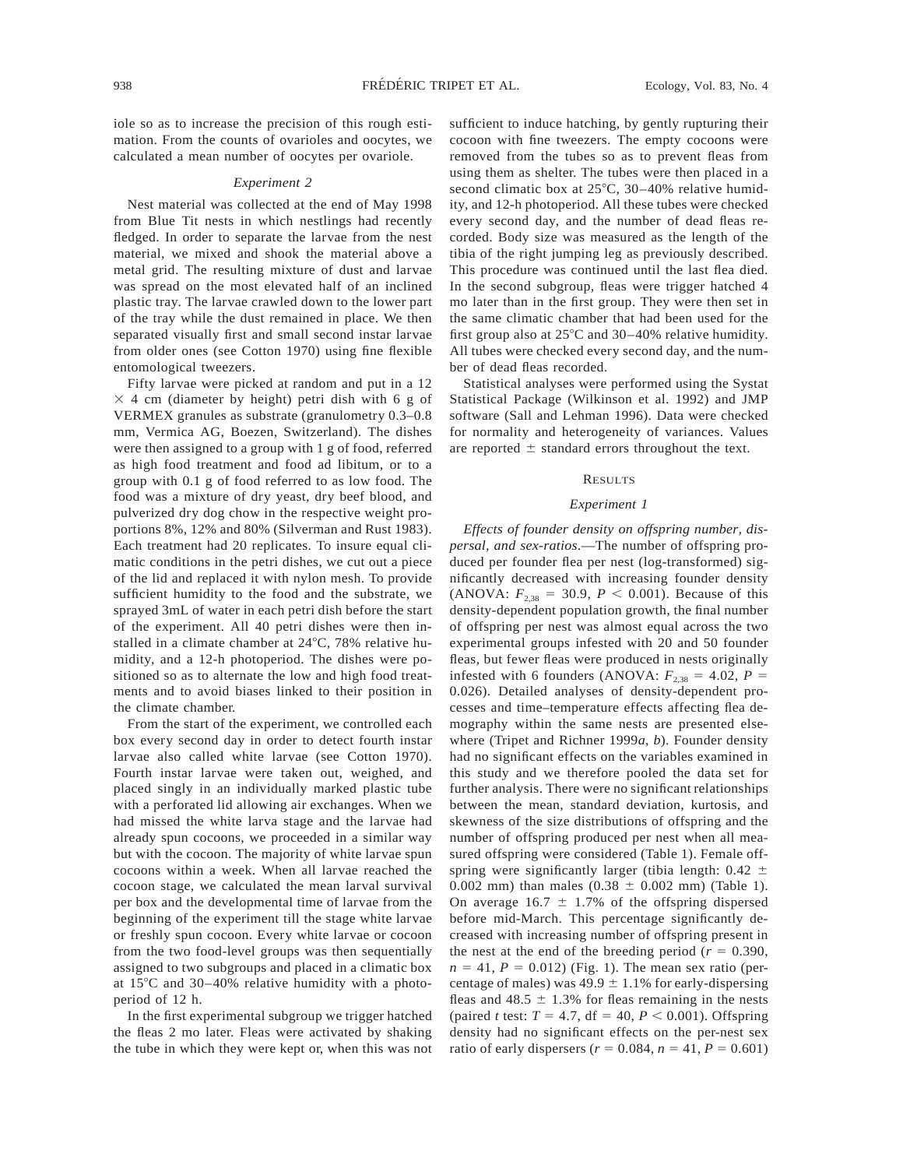iole so as to increase the precision of this rough estimation. From the counts of ovarioles and oocytes, we calculated a mean number of oocytes per ovariole.

#### *Experiment 2*

Nest material was collected at the end of May 1998 from Blue Tit nests in which nestlings had recently fledged. In order to separate the larvae from the nest material, we mixed and shook the material above a metal grid. The resulting mixture of dust and larvae was spread on the most elevated half of an inclined plastic tray. The larvae crawled down to the lower part of the tray while the dust remained in place. We then separated visually first and small second instar larvae from older ones (see Cotton 1970) using fine flexible entomological tweezers.

Fifty larvae were picked at random and put in a 12  $\times$  4 cm (diameter by height) petri dish with 6 g of VERMEX granules as substrate (granulometry 0.3–0.8 mm, Vermica AG, Boezen, Switzerland). The dishes were then assigned to a group with 1 g of food, referred as high food treatment and food ad libitum, or to a group with 0.1 g of food referred to as low food. The food was a mixture of dry yeast, dry beef blood, and pulverized dry dog chow in the respective weight proportions 8%, 12% and 80% (Silverman and Rust 1983). Each treatment had 20 replicates. To insure equal climatic conditions in the petri dishes, we cut out a piece of the lid and replaced it with nylon mesh. To provide sufficient humidity to the food and the substrate, we sprayed 3mL of water in each petri dish before the start of the experiment. All 40 petri dishes were then installed in a climate chamber at  $24^{\circ}$ C, 78% relative humidity, and a 12-h photoperiod. The dishes were positioned so as to alternate the low and high food treatments and to avoid biases linked to their position in the climate chamber.

From the start of the experiment, we controlled each box every second day in order to detect fourth instar larvae also called white larvae (see Cotton 1970). Fourth instar larvae were taken out, weighed, and placed singly in an individually marked plastic tube with a perforated lid allowing air exchanges. When we had missed the white larva stage and the larvae had already spun cocoons, we proceeded in a similar way but with the cocoon. The majority of white larvae spun cocoons within a week. When all larvae reached the cocoon stage, we calculated the mean larval survival per box and the developmental time of larvae from the beginning of the experiment till the stage white larvae or freshly spun cocoon. Every white larvae or cocoon from the two food-level groups was then sequentially assigned to two subgroups and placed in a climatic box at  $15^{\circ}$ C and  $30-40\%$  relative humidity with a photoperiod of 12 h.

In the first experimental subgroup we trigger hatched the fleas 2 mo later. Fleas were activated by shaking the tube in which they were kept or, when this was not sufficient to induce hatching, by gently rupturing their cocoon with fine tweezers. The empty cocoons were removed from the tubes so as to prevent fleas from using them as shelter. The tubes were then placed in a second climatic box at  $25^{\circ}$ C, 30–40% relative humidity, and 12-h photoperiod. All these tubes were checked every second day, and the number of dead fleas recorded. Body size was measured as the length of the tibia of the right jumping leg as previously described. This procedure was continued until the last flea died. In the second subgroup, fleas were trigger hatched 4 mo later than in the first group. They were then set in the same climatic chamber that had been used for the first group also at  $25^{\circ}$ C and 30–40% relative humidity. All tubes were checked every second day, and the number of dead fleas recorded.

Statistical analyses were performed using the Systat Statistical Package (Wilkinson et al. 1992) and JMP software (Sall and Lehman 1996). Data were checked for normality and heterogeneity of variances. Values are reported  $\pm$  standard errors throughout the text.

# RESULTS

#### *Experiment 1*

*Effects of founder density on offspring number, dispersal, and sex-ratios*.—The number of offspring produced per founder flea per nest (log-transformed) significantly decreased with increasing founder density (ANOVA:  $F_{2,38} = 30.9$ ,  $P < 0.001$ ). Because of this density-dependent population growth, the final number of offspring per nest was almost equal across the two experimental groups infested with 20 and 50 founder fleas, but fewer fleas were produced in nests originally infested with 6 founders (ANOVA:  $F_{2,38} = 4.02$ ,  $P =$ 0.026). Detailed analyses of density-dependent processes and time–temperature effects affecting flea demography within the same nests are presented elsewhere (Tripet and Richner 1999*a*, *b*). Founder density had no significant effects on the variables examined in this study and we therefore pooled the data set for further analysis. There were no significant relationships between the mean, standard deviation, kurtosis, and skewness of the size distributions of offspring and the number of offspring produced per nest when all measured offspring were considered (Table 1). Female offspring were significantly larger (tibia length:  $0.42 \pm$ 0.002 mm) than males  $(0.38 \pm 0.002 \text{ mm})$  (Table 1). On average 16.7  $\pm$  1.7% of the offspring dispersed before mid-March. This percentage significantly decreased with increasing number of offspring present in the nest at the end of the breeding period ( $r = 0.390$ ,  $n = 41$ ,  $P = 0.012$ ) (Fig. 1). The mean sex ratio (percentage of males) was  $49.9 \pm 1.1\%$  for early-dispersing fleas and 48.5  $\pm$  1.3% for fleas remaining in the nests (paired *t* test:  $T = 4.7$ , df = 40,  $P < 0.001$ ). Offspring density had no significant effects on the per-nest sex ratio of early dispersers ( $r = 0.084$ ,  $n = 41$ ,  $P = 0.601$ )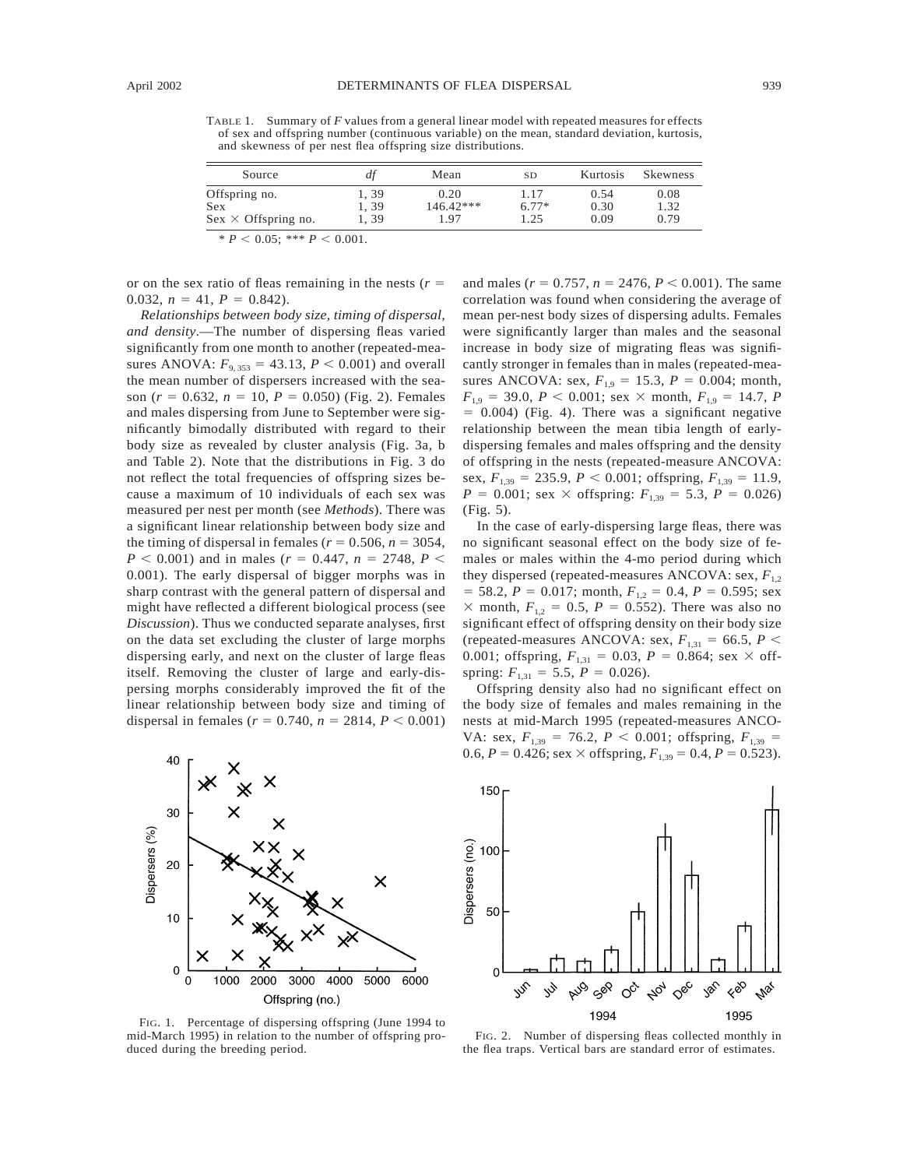TABLE 1. Summary of *F* values from a general linear model with repeated measures for effects of sex and offspring number (continuous variable) on the mean, standard deviation, kurtosis, and skewness of per nest flea offspring size distributions.

| Source                     | dt   | Mean        | <b>SD</b> | Kurtosis | <b>Skewness</b> |
|----------------------------|------|-------------|-----------|----------|-----------------|
| Offspring no.              | 1.39 | 0.20        | 1.17      | 0.54     | 0.08            |
| Sex                        | 1,39 | $146.42***$ | $6.77*$   | 0.30     | l.32            |
| $Sex \times$ Offspring no. | 1,39 | 1.97        | 1.25      | 0.09     | 0.79            |

 $* P < 0.05; ** P < 0.001.$ 

or on the sex ratio of fleas remaining in the nests ( $r =$ 0.032,  $n = 41$ ,  $P = 0.842$ .

*Relationships between body size, timing of dispersal, and density*.—The number of dispersing fleas varied significantly from one month to another (repeated-measures ANOVA:  $F_{9,353} = 43.13, P \le 0.001$ ) and overall the mean number of dispersers increased with the season ( $r = 0.632$ ,  $n = 10$ ,  $P = 0.050$ ) (Fig. 2). Females and males dispersing from June to September were significantly bimodally distributed with regard to their body size as revealed by cluster analysis (Fig. 3a, b and Table 2). Note that the distributions in Fig. 3 do not reflect the total frequencies of offspring sizes because a maximum of 10 individuals of each sex was measured per nest per month (see *Methods*). There was a significant linear relationship between body size and the timing of dispersal in females ( $r = 0.506$ ,  $n = 3054$ ,  $P < 0.001$ ) and in males ( $r = 0.447$ ,  $n = 2748$ ,  $P <$ 0.001). The early dispersal of bigger morphs was in sharp contrast with the general pattern of dispersal and might have reflected a different biological process (see *Discussion*). Thus we conducted separate analyses, first on the data set excluding the cluster of large morphs dispersing early, and next on the cluster of large fleas itself. Removing the cluster of large and early-dispersing morphs considerably improved the fit of the linear relationship between body size and timing of dispersal in females ( $r = 0.740$ ,  $n = 2814$ ,  $P < 0.001$ )



FIG. 1. Percentage of dispersing offspring (June 1994 to mid-March 1995) in relation to the number of offspring produced during the breeding period.

and males ( $r = 0.757$ ,  $n = 2476$ ,  $P < 0.001$ ). The same correlation was found when considering the average of mean per-nest body sizes of dispersing adults. Females were significantly larger than males and the seasonal increase in body size of migrating fleas was significantly stronger in females than in males (repeated-measures ANCOVA: sex,  $F_{1,9} = 15.3$ ,  $P = 0.004$ ; month,  $F_{1,9}$  = 39.0, *P* < 0.001; sex  $\times$  month,  $F_{1,9}$  = 14.7, *P*  $= 0.004$ ) (Fig. 4). There was a significant negative relationship between the mean tibia length of earlydispersing females and males offspring and the density of offspring in the nests (repeated-measure ANCOVA: sex,  $F_{1,39} = 235.9$ ,  $P < 0.001$ ; offspring,  $F_{1,39} = 11.9$ ,  $P = 0.001$ ; sex  $\times$  offspring:  $F_{1,39} = 5.3$ ,  $P = 0.026$ ) (Fig. 5).

In the case of early-dispersing large fleas, there was no significant seasonal effect on the body size of females or males within the 4-mo period during which they dispersed (repeated-measures ANCOVA: sex,  $F_{1,2}$ )  $= 58.2, P = 0.017;$  month,  $F_{1,2} = 0.4, P = 0.595;$  sex  $\times$  month,  $F_{1,2} = 0.5$ ,  $P = 0.552$ ). There was also no significant effect of offspring density on their body size (repeated-measures ANCOVA: sex,  $F_{1,31} = 66.5$ ,  $P <$ 0.001; offspring,  $F_{1,31} = 0.03$ ,  $P = 0.864$ ; sex  $\times$  offspring:  $F_{1,31} = 5.5$ ,  $P = 0.026$ .

Offspring density also had no significant effect on the body size of females and males remaining in the nests at mid-March 1995 (repeated-measures ANCO-VA: sex,  $F_{1,39} = 76.2$ ,  $P < 0.001$ ; offspring,  $F_{1,39} =$ 0.6,  $P = 0.426$ ; sex  $\times$  offspring,  $F_{1,39} = 0.4$ ,  $P = 0.523$ ).



FIG. 2. Number of dispersing fleas collected monthly in the flea traps. Vertical bars are standard error of estimates.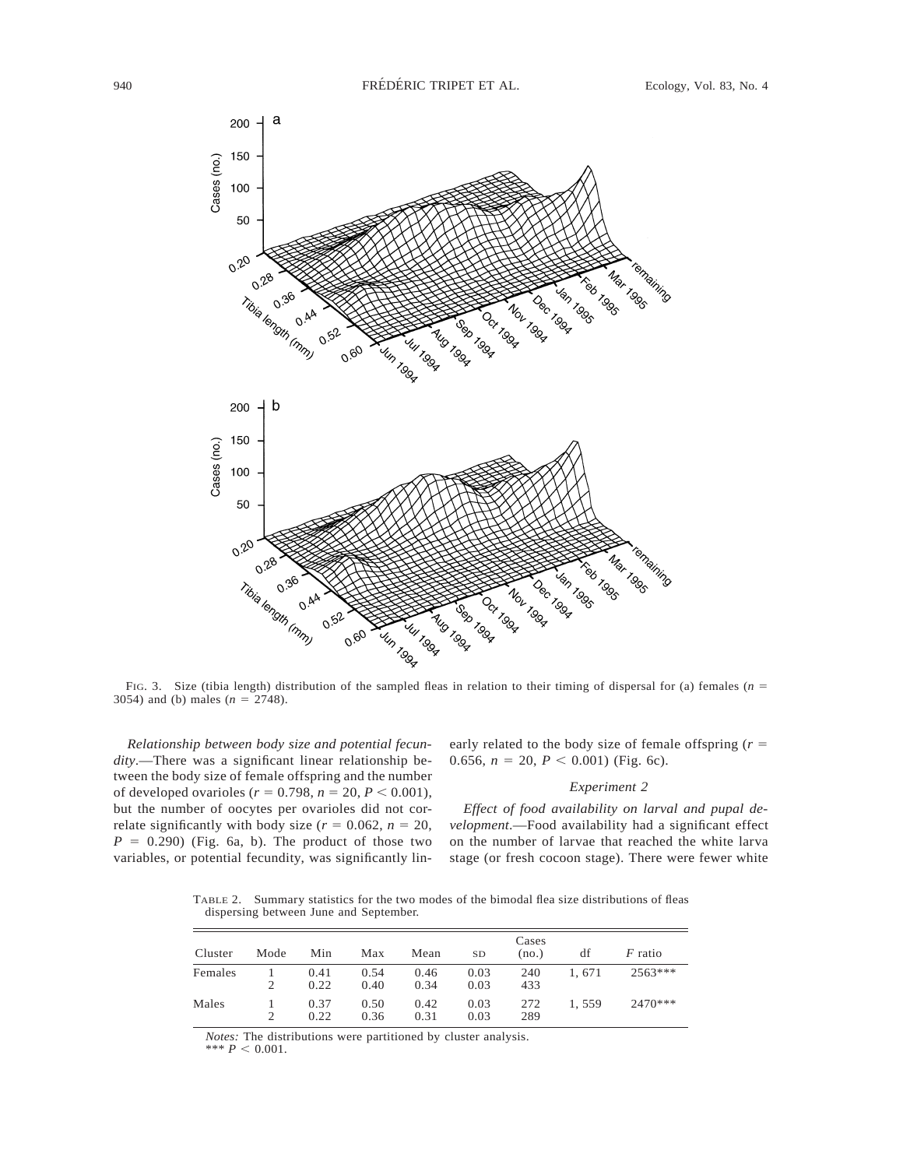

FIG. 3. Size (tibia length) distribution of the sampled fleas in relation to their timing of dispersal for (a) females (*n* = 3054) and (b) males  $(n = 2748)$ .

*Relationship between body size and potential fecundity*.—There was a significant linear relationship between the body size of female offspring and the number of developed ovarioles ( $r = 0.798$ ,  $n = 20$ ,  $P < 0.001$ ), but the number of oocytes per ovarioles did not correlate significantly with body size  $(r = 0.062, n = 20,$  $P = 0.290$ ) (Fig. 6a, b). The product of those two variables, or potential fecundity, was significantly linearly related to the body size of female offspring  $(r =$ 0.656,  $n = 20$ ,  $P < 0.001$ ) (Fig. 6c).

# *Experiment 2*

*Effect of food availability on larval and pupal development*.—Food availability had a significant effect on the number of larvae that reached the white larva stage (or fresh cocoon stage). There were fewer white

TABLE 2. Summary statistics for the two modes of the bimodal flea size distributions of fleas dispersing between June and September.

| Cluster | Mode     | Min          | Max          | Mean         | <b>SD</b>    | Cases<br>(no.) | df    | $F$ ratio |
|---------|----------|--------------|--------------|--------------|--------------|----------------|-------|-----------|
| Females | 2        | 0.41<br>0.22 | 0.54<br>0.40 | 0.46<br>0.34 | 0.03<br>0.03 | 240<br>433     | 1.671 | $2563***$ |
| Males   | $\gamma$ | 0.37<br>0.22 | 0.50<br>0.36 | 0.42<br>0.31 | 0.03<br>0.03 | 272<br>289     | 1.559 | $2470***$ |

*Notes:* The distributions were partitioned by cluster analysis. \*\*\*  $P < 0.001$ .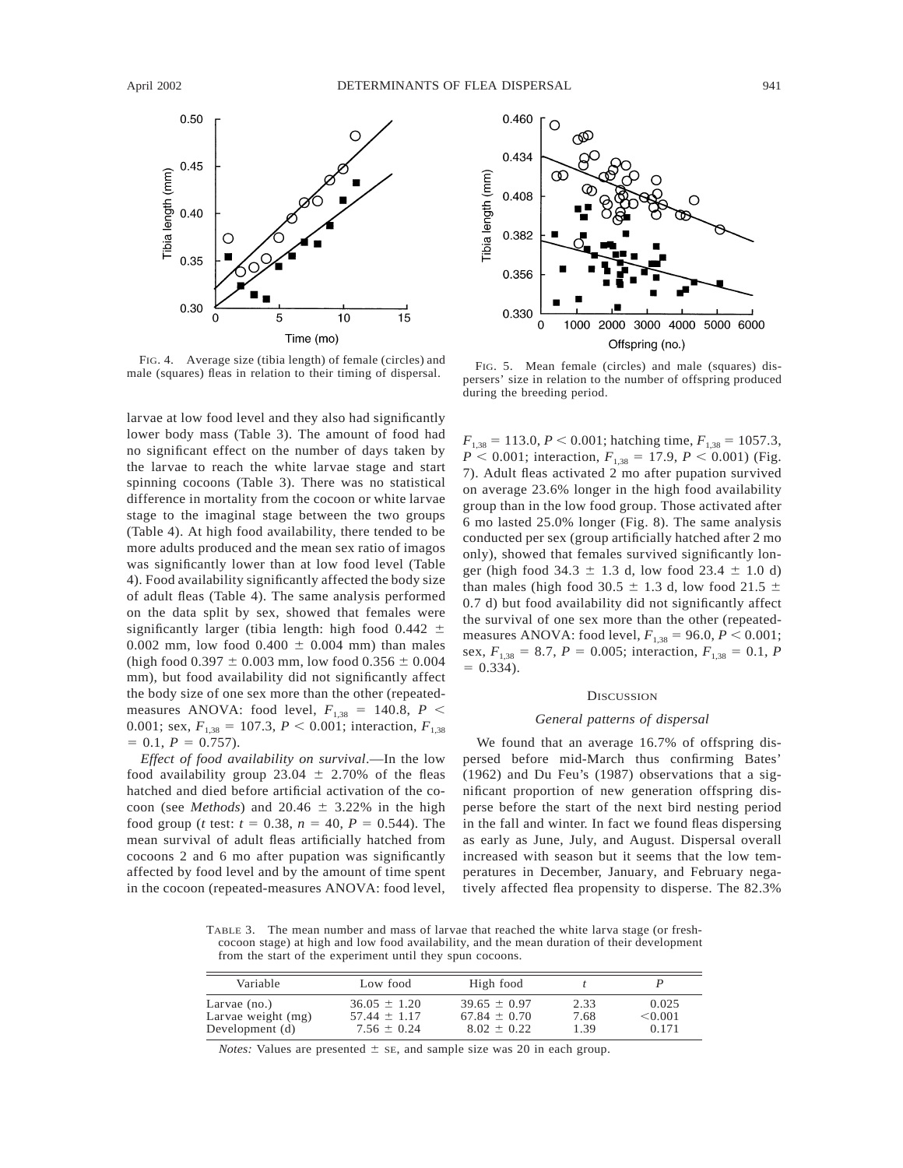

FIG. 4. Average size (tibia length) of female (circles) and FIG. 4. Average size (tibia length) of female (circles) and FIG. 5. Mean female (circles) and male (squares) dis-<br>male (squares) fleas in relation to their timing of dispersal.

larvae at low food level and they also had significantly lower body mass (Table 3). The amount of food had no significant effect on the number of days taken by the larvae to reach the white larvae stage and start spinning cocoons (Table 3). There was no statistical difference in mortality from the cocoon or white larvae stage to the imaginal stage between the two groups (Table 4). At high food availability, there tended to be more adults produced and the mean sex ratio of imagos was significantly lower than at low food level (Table 4). Food availability significantly affected the body size of adult fleas (Table 4). The same analysis performed on the data split by sex, showed that females were significantly larger (tibia length: high food  $0.442 \pm$ 0.002 mm, low food  $0.400 \pm 0.004$  mm) than males (high food  $0.397 \pm 0.003$  mm, low food  $0.356 \pm 0.004$ mm), but food availability did not significantly affect the body size of one sex more than the other (repeatedmeasures ANOVA: food level,  $F_{1,38} = 140.8$ ,  $P \leq$ 0.001; sex,  $F_{1,38} = 107.3$ ,  $P < 0.001$ ; interaction,  $F_{1,38}$  $= 0.1, P = 0.757$ .

*Effect of food availability on survival*.—In the low food availability group 23.04  $\pm$  2.70% of the fleas hatched and died before artificial activation of the cocoon (see *Methods*) and 20.46  $\pm$  3.22% in the high food group (*t* test:  $t = 0.38$ ,  $n = 40$ ,  $P = 0.544$ ). The mean survival of adult fleas artificially hatched from cocoons 2 and 6 mo after pupation was significantly affected by food level and by the amount of time spent in the cocoon (repeated-measures ANOVA: food level,



persers' size in relation to the number of offspring produced during the breeding period.

 $F_{1,38} = 113.0, P \le 0.001$ ; hatching time,  $F_{1,38} = 1057.3$ ,  $P < 0.001$ ; interaction,  $F_{1,38} = 17.9$ ,  $P < 0.001$ ) (Fig. 7). Adult fleas activated 2 mo after pupation survived on average 23.6% longer in the high food availability group than in the low food group. Those activated after 6 mo lasted 25.0% longer (Fig. 8). The same analysis conducted per sex (group artificially hatched after 2 mo only), showed that females survived significantly longer (high food 34.3  $\pm$  1.3 d, low food 23.4  $\pm$  1.0 d) than males (high food 30.5  $\pm$  1.3 d, low food 21.5  $\pm$ 0.7 d) but food availability did not significantly affect the survival of one sex more than the other (repeatedmeasures ANOVA: food level,  $F_{1,38} = 96.0, P < 0.001$ ; sex,  $F_{1,38} = 8.7$ ,  $P = 0.005$ ; interaction,  $F_{1,38} = 0.1$ , *P*  $= 0.334$ .

#### **DISCUSSION**

#### *General patterns of dispersal*

We found that an average 16.7% of offspring dispersed before mid-March thus confirming Bates' (1962) and Du Feu's (1987) observations that a significant proportion of new generation offspring disperse before the start of the next bird nesting period in the fall and winter. In fact we found fleas dispersing as early as June, July, and August. Dispersal overall increased with season but it seems that the low temperatures in December, January, and February negatively affected flea propensity to disperse. The 82.3%

TABLE 3. The mean number and mass of larvae that reached the white larva stage (or freshcocoon stage) at high and low food availability, and the mean duration of their development from the start of the experiment until they spun cocoons.

| Variable           | Low food         | High food        |      |         |
|--------------------|------------------|------------------|------|---------|
| Larvae $(no.)$     | $36.05 \pm 1.20$ | $39.65 \pm 0.97$ | 2.33 | 0.025   |
| Larvae weight (mg) | $57.44 \pm 1.17$ | $67.84 \pm 0.70$ | 7.68 | < 0.001 |
| Development (d)    | $7.56 \pm 0.24$  | $8.02 \pm 0.22$  | 1.39 | 0.171   |

*Notes:* Values are presented  $\pm$  se, and sample size was 20 in each group.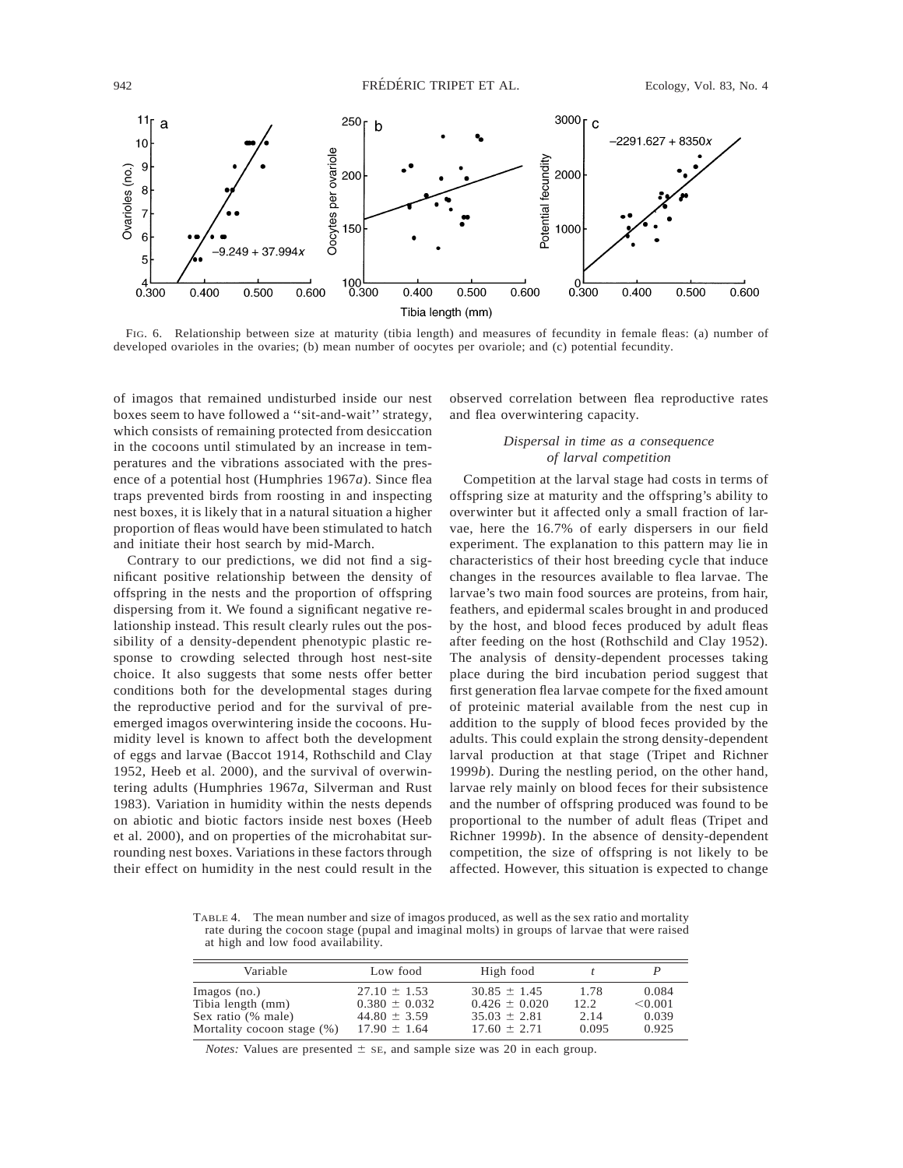

FIG. 6. Relationship between size at maturity (tibia length) and measures of fecundity in female fleas: (a) number of developed ovarioles in the ovaries; (b) mean number of oocytes per ovariole; and (c) potential fecundity.

of imagos that remained undisturbed inside our nest boxes seem to have followed a ''sit-and-wait'' strategy, which consists of remaining protected from desiccation in the cocoons until stimulated by an increase in temperatures and the vibrations associated with the presence of a potential host (Humphries 1967*a*). Since flea traps prevented birds from roosting in and inspecting nest boxes, it is likely that in a natural situation a higher proportion of fleas would have been stimulated to hatch and initiate their host search by mid-March.

Contrary to our predictions, we did not find a significant positive relationship between the density of offspring in the nests and the proportion of offspring dispersing from it. We found a significant negative relationship instead. This result clearly rules out the possibility of a density-dependent phenotypic plastic response to crowding selected through host nest-site choice. It also suggests that some nests offer better conditions both for the developmental stages during the reproductive period and for the survival of preemerged imagos overwintering inside the cocoons. Humidity level is known to affect both the development of eggs and larvae (Baccot 1914, Rothschild and Clay 1952, Heeb et al. 2000), and the survival of overwintering adults (Humphries 1967*a*, Silverman and Rust 1983). Variation in humidity within the nests depends on abiotic and biotic factors inside nest boxes (Heeb et al. 2000), and on properties of the microhabitat surrounding nest boxes. Variations in these factors through their effect on humidity in the nest could result in the

observed correlation between flea reproductive rates and flea overwintering capacity.

# *Dispersal in time as a consequence of larval competition*

Competition at the larval stage had costs in terms of offspring size at maturity and the offspring's ability to overwinter but it affected only a small fraction of larvae, here the 16.7% of early dispersers in our field experiment. The explanation to this pattern may lie in characteristics of their host breeding cycle that induce changes in the resources available to flea larvae. The larvae's two main food sources are proteins, from hair, feathers, and epidermal scales brought in and produced by the host, and blood feces produced by adult fleas after feeding on the host (Rothschild and Clay 1952). The analysis of density-dependent processes taking place during the bird incubation period suggest that first generation flea larvae compete for the fixed amount of proteinic material available from the nest cup in addition to the supply of blood feces provided by the adults. This could explain the strong density-dependent larval production at that stage (Tripet and Richner 1999*b*). During the nestling period, on the other hand, larvae rely mainly on blood feces for their subsistence and the number of offspring produced was found to be proportional to the number of adult fleas (Tripet and Richner 1999*b*). In the absence of density-dependent competition, the size of offspring is not likely to be affected. However, this situation is expected to change

TABLE 4. The mean number and size of imagos produced, as well as the sex ratio and mortality rate during the cocoon stage (pupal and imaginal molts) in groups of larvae that were raised at high and low food availability.

| Variable                                                                                | Low food                                                                      | High food                                                                     |                               |                                    |
|-----------------------------------------------------------------------------------------|-------------------------------------------------------------------------------|-------------------------------------------------------------------------------|-------------------------------|------------------------------------|
| $Imagos$ (no.)<br>Tibia length (mm)<br>Sex ratio (% male)<br>Mortality cocoon stage (%) | $27.10 \pm 1.53$<br>$0.380 \pm 0.032$<br>$44.80 \pm 3.59$<br>$17.90 \pm 1.64$ | $30.85 \pm 1.45$<br>$0.426 \pm 0.020$<br>$35.03 \pm 2.81$<br>$17.60 \pm 2.71$ | 1.78<br>12.2<br>2.14<br>0.095 | 0.084<br>< 0.001<br>0.039<br>0.925 |

*Notes:* Values are presented  $\pm$  se, and sample size was 20 in each group.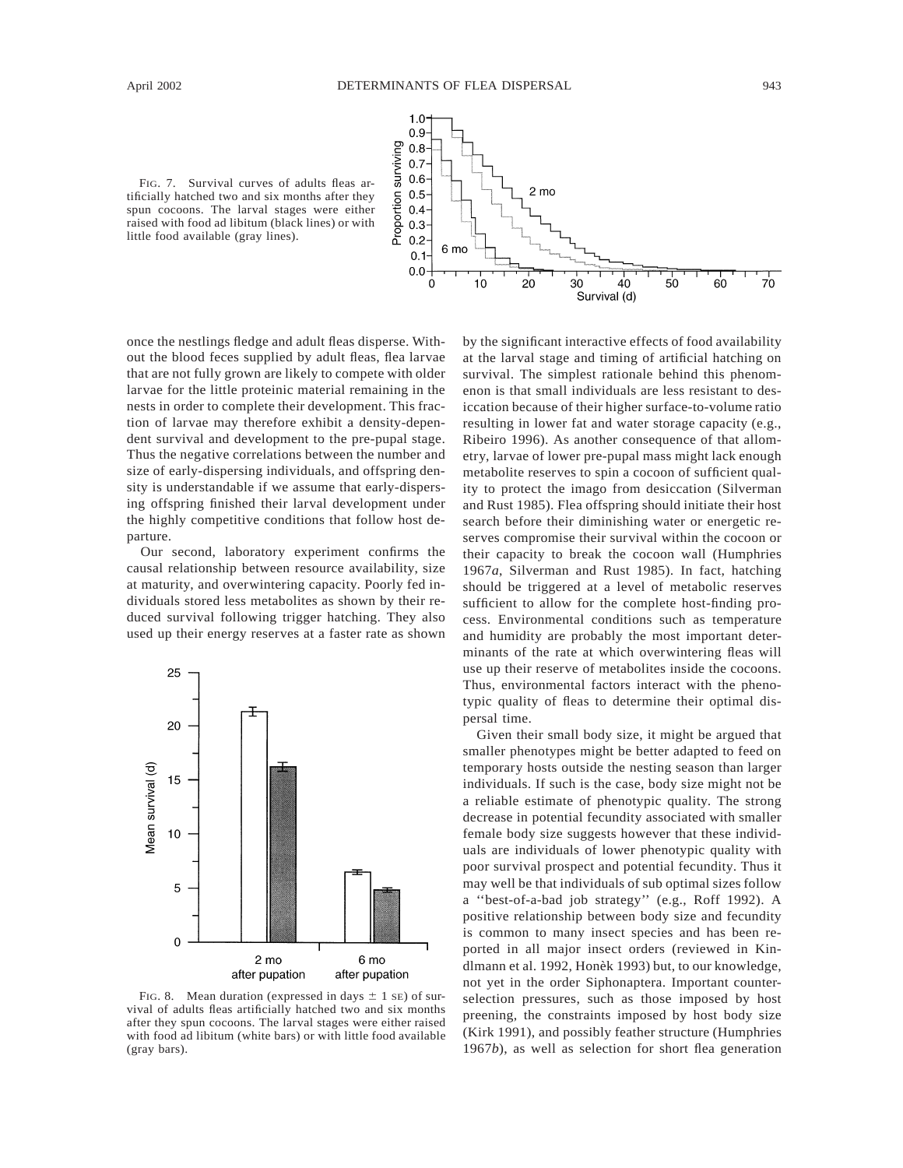



once the nestlings fledge and adult fleas disperse. Without the blood feces supplied by adult fleas, flea larvae that are not fully grown are likely to compete with older larvae for the little proteinic material remaining in the nests in order to complete their development. This fraction of larvae may therefore exhibit a density-dependent survival and development to the pre-pupal stage. Thus the negative correlations between the number and size of early-dispersing individuals, and offspring density is understandable if we assume that early-dispersing offspring finished their larval development under the highly competitive conditions that follow host departure.

Our second, laboratory experiment confirms the causal relationship between resource availability, size at maturity, and overwintering capacity. Poorly fed individuals stored less metabolites as shown by their reduced survival following trigger hatching. They also used up their energy reserves at a faster rate as shown



FIG. 8. Mean duration (expressed in days  $\pm$  1 se) of survival of adults fleas artificially hatched two and six months after they spun cocoons. The larval stages were either raised with food ad libitum (white bars) or with little food available (gray bars).

by the significant interactive effects of food availability at the larval stage and timing of artificial hatching on survival. The simplest rationale behind this phenomenon is that small individuals are less resistant to desiccation because of their higher surface-to-volume ratio resulting in lower fat and water storage capacity (e.g., Ribeiro 1996). As another consequence of that allometry, larvae of lower pre-pupal mass might lack enough metabolite reserves to spin a cocoon of sufficient quality to protect the imago from desiccation (Silverman and Rust 1985). Flea offspring should initiate their host search before their diminishing water or energetic reserves compromise their survival within the cocoon or their capacity to break the cocoon wall (Humphries 1967*a*, Silverman and Rust 1985). In fact, hatching should be triggered at a level of metabolic reserves sufficient to allow for the complete host-finding process. Environmental conditions such as temperature and humidity are probably the most important determinants of the rate at which overwintering fleas will use up their reserve of metabolites inside the cocoons. Thus, environmental factors interact with the phenotypic quality of fleas to determine their optimal dispersal time.

Given their small body size, it might be argued that smaller phenotypes might be better adapted to feed on temporary hosts outside the nesting season than larger individuals. If such is the case, body size might not be a reliable estimate of phenotypic quality. The strong decrease in potential fecundity associated with smaller female body size suggests however that these individuals are individuals of lower phenotypic quality with poor survival prospect and potential fecundity. Thus it may well be that individuals of sub optimal sizes follow a ''best-of-a-bad job strategy'' (e.g., Roff 1992). A positive relationship between body size and fecundity is common to many insect species and has been reported in all major insect orders (reviewed in Kindlmann et al. 1992, Honèk 1993) but, to our knowledge, not yet in the order Siphonaptera. Important counterselection pressures, such as those imposed by host preening, the constraints imposed by host body size (Kirk 1991), and possibly feather structure (Humphries 1967*b*), as well as selection for short flea generation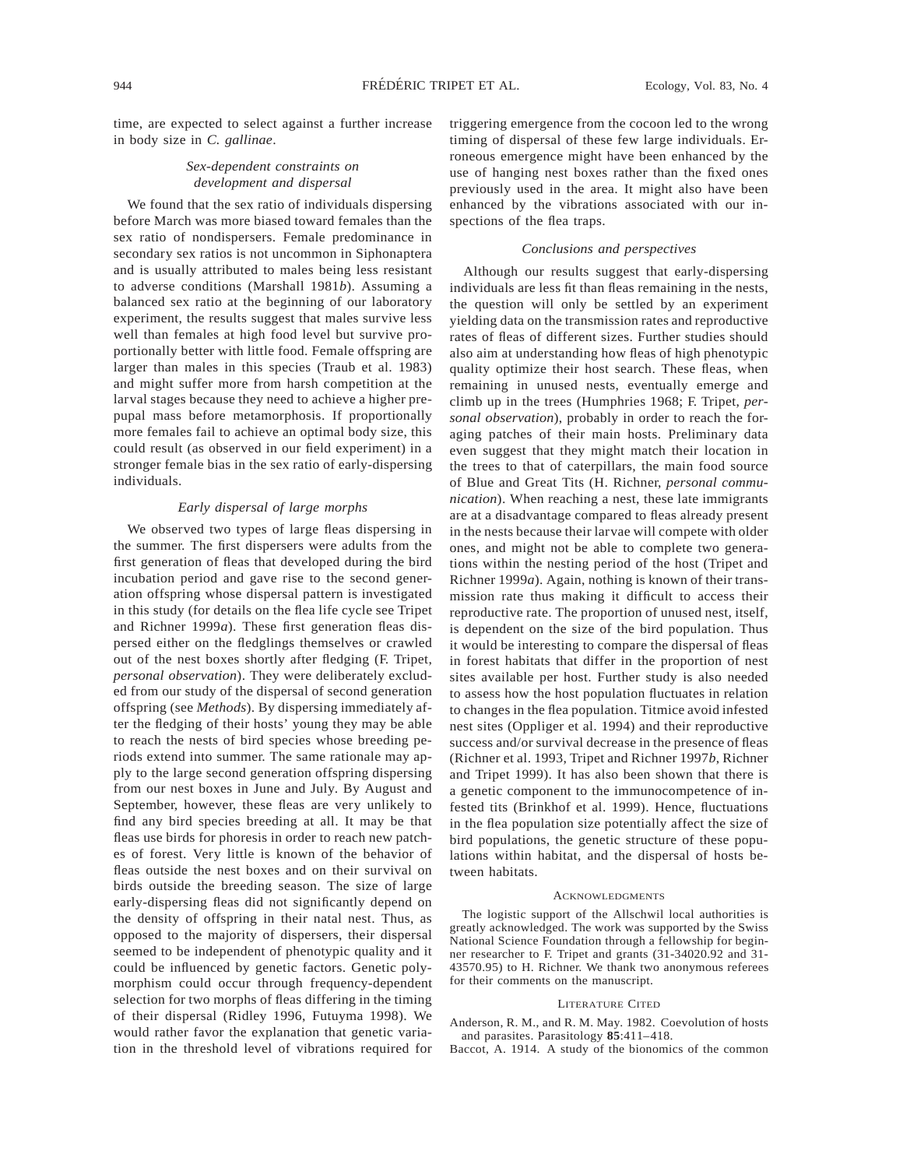time, are expected to select against a further increase in body size in *C. gallinae*.

# *Sex-dependent constraints on development and dispersal*

We found that the sex ratio of individuals dispersing before March was more biased toward females than the sex ratio of nondispersers. Female predominance in secondary sex ratios is not uncommon in Siphonaptera and is usually attributed to males being less resistant to adverse conditions (Marshall 1981*b*). Assuming a balanced sex ratio at the beginning of our laboratory experiment, the results suggest that males survive less well than females at high food level but survive proportionally better with little food. Female offspring are larger than males in this species (Traub et al. 1983) and might suffer more from harsh competition at the larval stages because they need to achieve a higher prepupal mass before metamorphosis. If proportionally more females fail to achieve an optimal body size, this could result (as observed in our field experiment) in a stronger female bias in the sex ratio of early-dispersing individuals.

### *Early dispersal of large morphs*

We observed two types of large fleas dispersing in the summer. The first dispersers were adults from the first generation of fleas that developed during the bird incubation period and gave rise to the second generation offspring whose dispersal pattern is investigated in this study (for details on the flea life cycle see Tripet and Richner 1999*a*). These first generation fleas dispersed either on the fledglings themselves or crawled out of the nest boxes shortly after fledging (F. Tripet, *personal observation*). They were deliberately excluded from our study of the dispersal of second generation offspring (see *Methods*). By dispersing immediately after the fledging of their hosts' young they may be able to reach the nests of bird species whose breeding periods extend into summer. The same rationale may apply to the large second generation offspring dispersing from our nest boxes in June and July. By August and September, however, these fleas are very unlikely to find any bird species breeding at all. It may be that fleas use birds for phoresis in order to reach new patches of forest. Very little is known of the behavior of fleas outside the nest boxes and on their survival on birds outside the breeding season. The size of large early-dispersing fleas did not significantly depend on the density of offspring in their natal nest. Thus, as opposed to the majority of dispersers, their dispersal seemed to be independent of phenotypic quality and it could be influenced by genetic factors. Genetic polymorphism could occur through frequency-dependent selection for two morphs of fleas differing in the timing of their dispersal (Ridley 1996, Futuyma 1998). We would rather favor the explanation that genetic variation in the threshold level of vibrations required for

triggering emergence from the cocoon led to the wrong timing of dispersal of these few large individuals. Erroneous emergence might have been enhanced by the use of hanging nest boxes rather than the fixed ones previously used in the area. It might also have been enhanced by the vibrations associated with our inspections of the flea traps.

## *Conclusions and perspectives*

Although our results suggest that early-dispersing individuals are less fit than fleas remaining in the nests, the question will only be settled by an experiment yielding data on the transmission rates and reproductive rates of fleas of different sizes. Further studies should also aim at understanding how fleas of high phenotypic quality optimize their host search. These fleas, when remaining in unused nests, eventually emerge and climb up in the trees (Humphries 1968; F. Tripet, *personal observation*), probably in order to reach the foraging patches of their main hosts. Preliminary data even suggest that they might match their location in the trees to that of caterpillars, the main food source of Blue and Great Tits (H. Richner, *personal communication*). When reaching a nest, these late immigrants are at a disadvantage compared to fleas already present in the nests because their larvae will compete with older ones, and might not be able to complete two generations within the nesting period of the host (Tripet and Richner 1999*a*). Again, nothing is known of their transmission rate thus making it difficult to access their reproductive rate. The proportion of unused nest, itself, is dependent on the size of the bird population. Thus it would be interesting to compare the dispersal of fleas in forest habitats that differ in the proportion of nest sites available per host. Further study is also needed to assess how the host population fluctuates in relation to changes in the flea population. Titmice avoid infested nest sites (Oppliger et al. 1994) and their reproductive success and/or survival decrease in the presence of fleas (Richner et al. 1993, Tripet and Richner 1997*b*, Richner and Tripet 1999). It has also been shown that there is a genetic component to the immunocompetence of infested tits (Brinkhof et al. 1999). Hence, fluctuations in the flea population size potentially affect the size of bird populations, the genetic structure of these populations within habitat, and the dispersal of hosts between habitats.

#### **ACKNOWLEDGMENTS**

The logistic support of the Allschwil local authorities is greatly acknowledged. The work was supported by the Swiss National Science Foundation through a fellowship for beginner researcher to F. Tripet and grants (31-34020.92 and 31- 43570.95) to H. Richner. We thank two anonymous referees for their comments on the manuscript.

#### LITERATURE CITED

Anderson, R. M., and R. M. May. 1982. Coevolution of hosts and parasites. Parasitology **85**:411–418.

Baccot, A. 1914. A study of the bionomics of the common